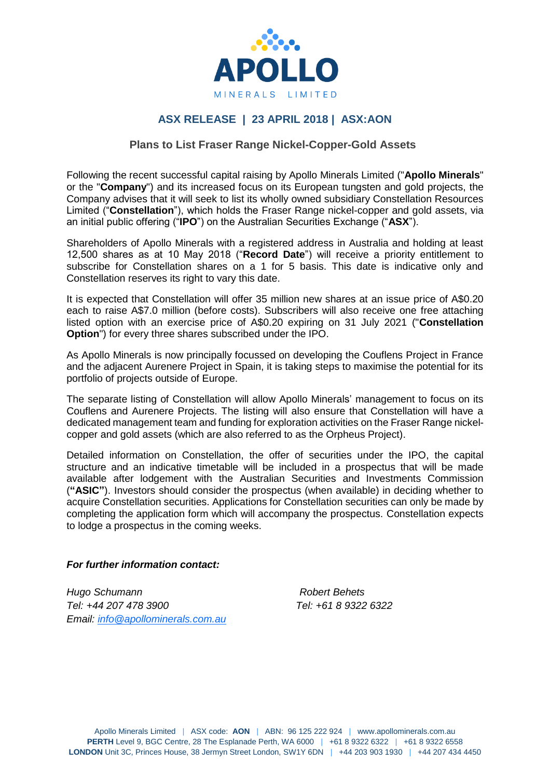

# **ASX RELEASE | 23 APRIL 2018 | ASX:AON**

## **Plans to List Fraser Range Nickel-Copper-Gold Assets**

Following the recent successful capital raising by Apollo Minerals Limited ("**Apollo Minerals**" or the "**Company**") and its increased focus on its European tungsten and gold projects, the Company advises that it will seek to list its wholly owned subsidiary Constellation Resources Limited ("**Constellation**"), which holds the Fraser Range nickel-copper and gold assets, via an initial public offering ("**IPO**") on the Australian Securities Exchange ("**ASX**").

Shareholders of Apollo Minerals with a registered address in Australia and holding at least 12,500 shares as at 10 May 2018 ("**Record Date**") will receive a priority entitlement to subscribe for Constellation shares on a 1 for 5 basis. This date is indicative only and Constellation reserves its right to vary this date.

It is expected that Constellation will offer 35 million new shares at an issue price of A\$0.20 each to raise A\$7.0 million (before costs). Subscribers will also receive one free attaching listed option with an exercise price of A\$0.20 expiring on 31 July 2021 ("**Constellation Option**") for every three shares subscribed under the IPO.

As Apollo Minerals is now principally focussed on developing the Couflens Project in France and the adjacent Aurenere Project in Spain, it is taking steps to maximise the potential for its portfolio of projects outside of Europe.

The separate listing of Constellation will allow Apollo Minerals' management to focus on its Couflens and Aurenere Projects. The listing will also ensure that Constellation will have a dedicated management team and funding for exploration activities on the Fraser Range nickelcopper and gold assets (which are also referred to as the Orpheus Project).

Detailed information on Constellation, the offer of securities under the IPO, the capital structure and an indicative timetable will be included in a prospectus that will be made available after lodgement with the Australian Securities and Investments Commission (**"ASIC"**). Investors should consider the prospectus (when available) in deciding whether to acquire Constellation securities. Applications for Constellation securities can only be made by completing the application form which will accompany the prospectus. Constellation expects to lodge a prospectus in the coming weeks.

### *For further information contact:*

*Hugo Schumann Robert Behets Tel: +44 207 478 3900 Tel: +61 8 9322 6322 Email: [info@apollominerals.com.au](mailto:info@apollominerals.com.au)*